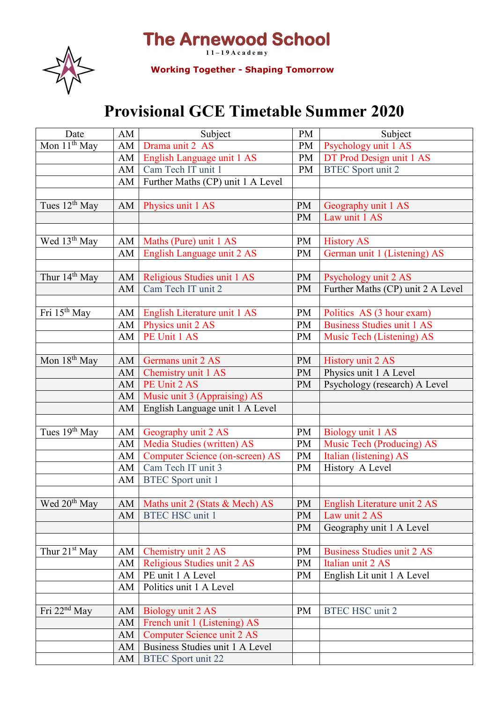## **The Arnewood School**



**1 1 – 1 9 A c a d e m y Working Together - Shaping Tomorrow**

## **Provisional GCE Timetable Summer 2020**

| Date                      | AM | Subject                                | PM        | Subject                           |
|---------------------------|----|----------------------------------------|-----------|-----------------------------------|
| Mon 11 <sup>th</sup> May  | AM | Drama unit 2 AS                        | PM        | Psychology unit 1 AS              |
|                           | AM | English Language unit 1 AS             | PM        | DT Prod Design unit 1 AS          |
|                           | AM | Cam Tech IT unit 1                     | PM        | <b>BTEC</b> Sport unit 2          |
|                           | AM | Further Maths (CP) unit 1 A Level      |           |                                   |
|                           |    |                                        |           |                                   |
| Tues $12^{th}$ May        |    | AM   Physics unit 1 AS                 | <b>PM</b> | Geography unit 1 AS               |
|                           |    |                                        | <b>PM</b> | Law unit 1 AS                     |
|                           |    |                                        |           |                                   |
| Wed 13 <sup>th</sup> May  | AM | Maths (Pure) unit 1 AS                 | <b>PM</b> | <b>History AS</b>                 |
|                           | AM | English Language unit 2 AS             | <b>PM</b> | German unit 1 (Listening) AS      |
|                           |    |                                        |           |                                   |
| Thur 14 <sup>th</sup> May | AM | Religious Studies unit 1 AS            | <b>PM</b> | Psychology unit 2 AS              |
|                           | AM | Cam Tech IT unit 2                     | <b>PM</b> | Further Maths (CP) unit 2 A Level |
|                           |    |                                        |           |                                   |
| Fri 15 <sup>th</sup> May  | AM | English Literature unit 1 AS           | <b>PM</b> | Politics AS (3 hour exam)         |
|                           | AM | Physics unit 2 AS                      | <b>PM</b> | <b>Business Studies unit 1 AS</b> |
|                           | AM | PE Unit 1 AS                           | <b>PM</b> | Music Tech (Listening) AS         |
|                           |    |                                        |           |                                   |
| Mon 18 <sup>th</sup> May  | AM | Germans unit 2 AS                      | <b>PM</b> | <b>History unit 2 AS</b>          |
|                           | AM | Chemistry unit 1 AS                    | <b>PM</b> | Physics unit 1 A Level            |
|                           | AM | PE Unit 2 AS                           | <b>PM</b> | Psychology (research) A Level     |
|                           | AM | Music unit 3 (Appraising) AS           |           |                                   |
|                           | AM | English Language unit 1 A Level        |           |                                   |
|                           |    |                                        |           |                                   |
| Tues 19 <sup>th</sup> May | AM | Geography unit 2 AS                    | <b>PM</b> | Biology unit 1 AS                 |
|                           | AM | Media Studies (written) AS             | <b>PM</b> | Music Tech (Producing) AS         |
|                           | AM | <b>Computer Science (on-screen) AS</b> | PM        | Italian (listening) AS            |
|                           | AM | Cam Tech IT unit 3                     | PM        | History A Level                   |
|                           | AM | <b>BTEC</b> Sport unit 1               |           |                                   |
|                           |    |                                        |           |                                   |
| Wed 20 <sup>th</sup> May  |    | AM Maths unit 2 (Stats & Mech) AS      |           | PM English Literature unit 2 AS   |
|                           | AM | <b>BTEC HSC unit 1</b>                 | <b>PM</b> | Law unit 2 AS                     |
|                           |    |                                        | <b>PM</b> | Geography unit 1 A Level          |
|                           |    |                                        |           |                                   |
| Thur $21st$ May           | AM | Chemistry unit 2 AS                    | <b>PM</b> | <b>Business Studies unit 2 AS</b> |
|                           | AM | Religious Studies unit 2 AS            | <b>PM</b> | Italian unit 2 AS                 |
|                           | AM | PE unit 1 A Level                      | <b>PM</b> | English Lit unit 1 A Level        |
|                           | AM | Politics unit 1 A Level                |           |                                   |
|                           |    |                                        |           |                                   |
| Fri $22nd$ May            | AM | Biology unit 2 AS                      | <b>PM</b> | <b>BTEC HSC unit 2</b>            |
|                           | AM | French unit 1 (Listening) AS           |           |                                   |
|                           | AM | Computer Science unit 2 AS             |           |                                   |
|                           | AM | Business Studies unit 1 A Level        |           |                                   |
|                           | AM | <b>BTEC</b> Sport unit 22              |           |                                   |